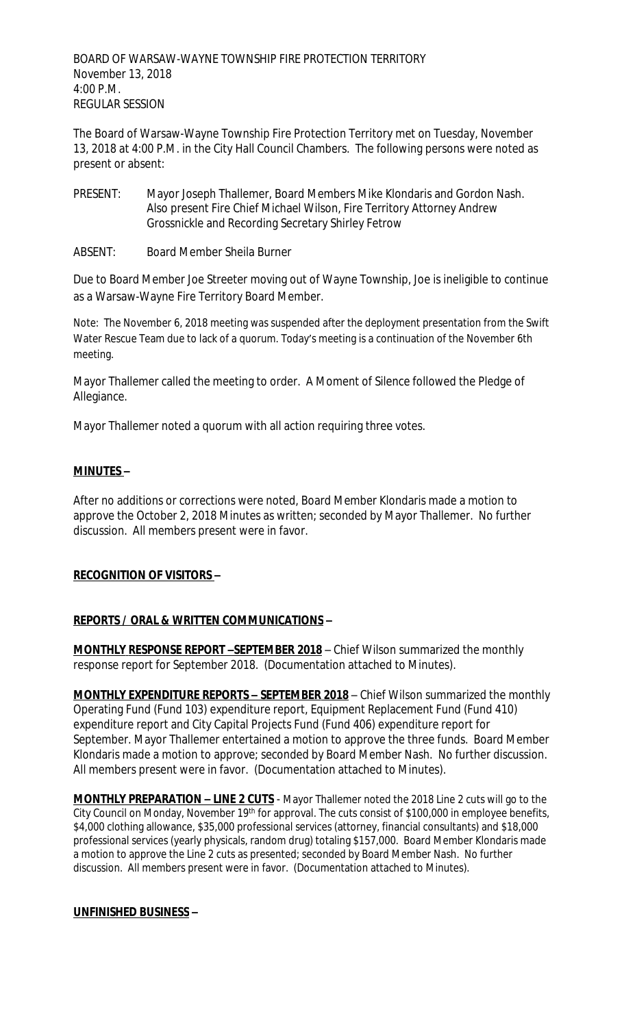BOARD OF WARSAW-WAYNE TOWNSHIP FIRE PROTECTION TERRITORY November 13, 2018 4:00 P.M. REGULAR SESSION

The Board of Warsaw-Wayne Township Fire Protection Territory met on Tuesday, November 13, 2018 at 4:00 P.M. in the City Hall Council Chambers. The following persons were noted as present or absent:

- PRESENT: Mayor Joseph Thallemer, Board Members Mike Klondaris and Gordon Nash. Also present Fire Chief Michael Wilson, Fire Territory Attorney Andrew Grossnickle and Recording Secretary Shirley Fetrow
- ABSENT: Board Member Sheila Burner

Due to Board Member Joe Streeter moving out of Wayne Township, Joe is ineligible to continue as a Warsaw-Wayne Fire Territory Board Member.

Note: The November 6, 2018 meeting was suspended after the deployment presentation from the Swift Water Rescue Team due to lack of a quorum. Today's meeting is a continuation of the November 6th meeting.

Mayor Thallemer called the meeting to order. A Moment of Silence followed the Pledge of Allegiance.

Mayor Thallemer noted a quorum with all action requiring three votes.

## **MINUTES –**

After no additions or corrections were noted, Board Member Klondaris made a motion to approve the October 2, 2018 Minutes as written; seconded by Mayor Thallemer. No further discussion. All members present were in favor.

## **RECOGNITION OF VISITORS –**

## **REPORTS / ORAL & WRITTEN COMMUNICATIONS –**

**MONTHLY RESPONSE REPORT –SEPTEMBER 2018** – Chief Wilson summarized the monthly response report for September 2018. (Documentation attached to Minutes).

**MONTHLY EXPENDITURE REPORTS – SEPTEMBER 2018** – Chief Wilson summarized the monthly Operating Fund (Fund 103) expenditure report, Equipment Replacement Fund (Fund 410) expenditure report and City Capital Projects Fund (Fund 406) expenditure report for September. Mayor Thallemer entertained a motion to approve the three funds. Board Member Klondaris made a motion to approve; seconded by Board Member Nash. No further discussion. All members present were in favor. (Documentation attached to Minutes).

**MONTHLY PREPARATION – LINE 2 CUTS** - Mayor Thallemer noted the 2018 Line 2 cuts will go to the City Council on Monday, November 19th for approval. The cuts consist of \$100,000 in employee benefits, \$4,000 clothing allowance, \$35,000 professional services (attorney, financial consultants) and \$18,000 professional services (yearly physicals, random drug) totaling \$157,000. Board Member Klondaris made a motion to approve the Line 2 cuts as presented; seconded by Board Member Nash. No further discussion. All members present were in favor. (Documentation attached to Minutes).

## **UNFINISHED BUSINESS –**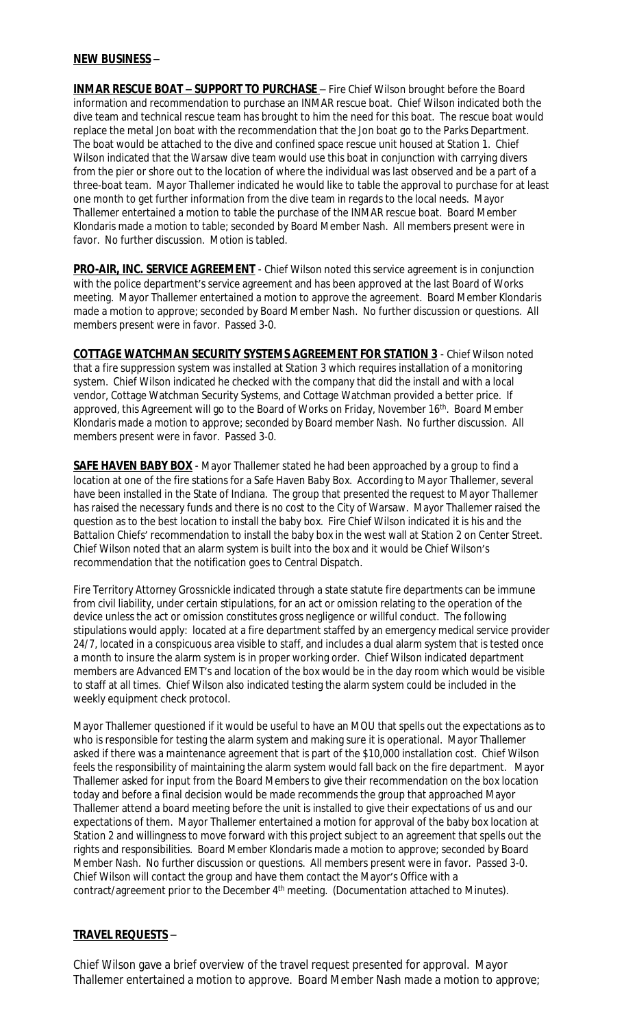### **NEW BUSINESS –**

**INMAR RESCUE BOAT - SUPPORT TO PURCHASE** - Fire Chief Wilson brought before the Board information and recommendation to purchase an INMAR rescue boat. Chief Wilson indicated both the dive team and technical rescue team has brought to him the need for this boat. The rescue boat would replace the metal Jon boat with the recommendation that the Jon boat go to the Parks Department. The boat would be attached to the dive and confined space rescue unit housed at Station 1. Chief Wilson indicated that the Warsaw dive team would use this boat in conjunction with carrying divers from the pier or shore out to the location of where the individual was last observed and be a part of a three-boat team. Mayor Thallemer indicated he would like to table the approval to purchase for at least one month to get further information from the dive team in regards to the local needs. Mayor Thallemer entertained a motion to table the purchase of the INMAR rescue boat. Board Member Klondaris made a motion to table; seconded by Board Member Nash. All members present were in favor. No further discussion. Motion is tabled.

**PRO-AIR, INC. SERVICE AGREEMENT** - Chief Wilson noted this service agreement is in conjunction with the police department's service agreement and has been approved at the last Board of Works meeting. Mayor Thallemer entertained a motion to approve the agreement. Board Member Klondaris made a motion to approve; seconded by Board Member Nash. No further discussion or questions. All members present were in favor. Passed 3-0.

**COTTAGE WATCHMAN SECURITY SYSTEMS AGREEMENT FOR STATION 3** - Chief Wilson noted that a fire suppression system was installed at Station 3 which requires installation of a monitoring system. Chief Wilson indicated he checked with the company that did the install and with a local vendor, Cottage Watchman Security Systems, and Cottage Watchman provided a better price. If approved, this Agreement will go to the Board of Works on Friday, November 16<sup>th</sup>. Board Member Klondaris made a motion to approve; seconded by Board member Nash. No further discussion. All members present were in favor. Passed 3-0.

**SAFE HAVEN BABY BOX** - Mayor Thallemer stated he had been approached by a group to find a location at one of the fire stations for a Safe Haven Baby Box. According to Mayor Thallemer, several have been installed in the State of Indiana. The group that presented the request to Mayor Thallemer has raised the necessary funds and there is no cost to the City of Warsaw. Mayor Thallemer raised the question as to the best location to install the baby box. Fire Chief Wilson indicated it is his and the Battalion Chiefs' recommendation to install the baby box in the west wall at Station 2 on Center Street. Chief Wilson noted that an alarm system is built into the box and it would be Chief Wilson's recommendation that the notification goes to Central Dispatch.

Fire Territory Attorney Grossnickle indicated through a state statute fire departments can be immune from civil liability, under certain stipulations, for an act or omission relating to the operation of the device unless the act or omission constitutes gross negligence or willful conduct. The following stipulations would apply: located at a fire department staffed by an emergency medical service provider 24/7, located in a conspicuous area visible to staff, and includes a dual alarm system that is tested once a month to insure the alarm system is in proper working order. Chief Wilson indicated department members are Advanced EMT's and location of the box would be in the day room which would be visible to staff at all times. Chief Wilson also indicated testing the alarm system could be included in the weekly equipment check protocol.

Mayor Thallemer questioned if it would be useful to have an MOU that spells out the expectations as to who is responsible for testing the alarm system and making sure it is operational. Mayor Thallemer asked if there was a maintenance agreement that is part of the \$10,000 installation cost. Chief Wilson feels the responsibility of maintaining the alarm system would fall back on the fire department. Mayor Thallemer asked for input from the Board Members to give their recommendation on the box location today and before a final decision would be made recommends the group that approached Mayor Thallemer attend a board meeting before the unit is installed to give their expectations of us and our expectations of them. Mayor Thallemer entertained a motion for approval of the baby box location at Station 2 and willingness to move forward with this project subject to an agreement that spells out the rights and responsibilities. Board Member Klondaris made a motion to approve; seconded by Board Member Nash. No further discussion or questions. All members present were in favor. Passed 3-0. Chief Wilson will contact the group and have them contact the Mayor's Office with a contract/agreement prior to the December 4<sup>th</sup> meeting. (Documentation attached to Minutes).

## **TRAVEL REQUESTS** –

Chief Wilson gave a brief overview of the travel request presented for approval. Mayor Thallemer entertained a motion to approve. Board Member Nash made a motion to approve;